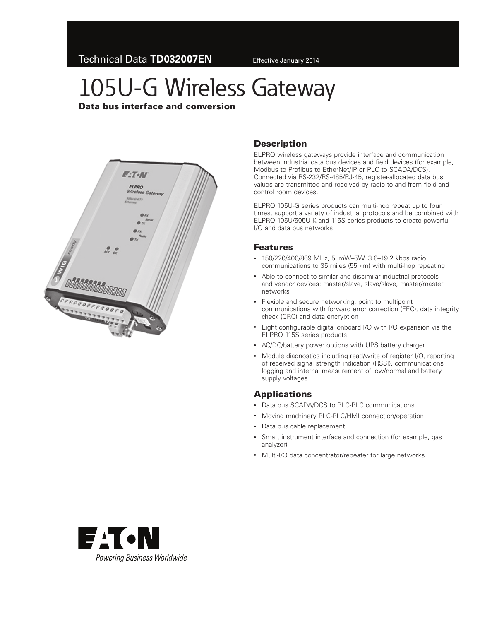# 105U-G Wireless Gateway

Data bus interface and conversion



## **Description**

ELPRO wireless gateways provide interface and communication between industrial data bus devices and field devices (for example, Modbus to Profibus to EtherNet/IP or PLC to SCADA/DCS). Connected via RS-232/RS-485/RJ-45, register-allocated data bus values are transmitted and received by radio to and from field and control room devices.

ELPRO 105U-G series products can multi-hop repeat up to four times, support a variety of industrial protocols and be combined with ELPRO 105U/505U-K and 115S series products to create powerful I/O and data bus networks.

#### Features

- • 150/220/400/869 MHz, 5 mW–5W, 3.6–19.2 kbps radio communications to 35 miles (55 km) with multi-hop repeating
- • Able to connect to similar and dissimilar industrial protocols and vendor devices: master/slave, slave/slave, master/master networks
- Flexible and secure networking, point to multipoint communications with forward error correction (FEC), data integrity check (CRC) and data encryption
- Eight configurable digital onboard I/O with I/O expansion via the ELPRO 115S series products
- • AC/DC/battery power options with UPS battery charger
- Module diagnostics including read/write of register I/O, reporting of received signal strength indication (RSSI), communications logging and internal measurement of low/normal and battery supply voltages

### **Applications**

- Data bus SCADA/DCS to PLC-PLC communications
- Moving machinery PLC-PLC/HMI connection/operation
- • Data bus cable replacement
- Smart instrument interface and connection (for example, gas analyzer)
- Multi-I/O data concentrator/repeater for large networks

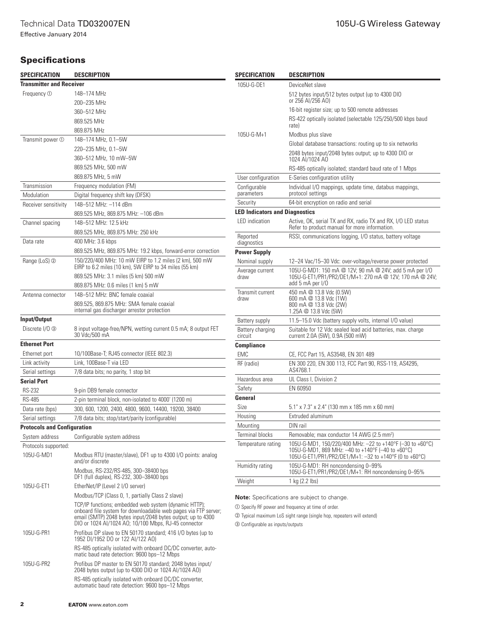Effective January 2014

## **Specifications**

| SPECIFICATION                         | <b>DESCRIPTION</b>                                                                                                                                                                    | SPECIFICATION                                                                                                                                                    | <b>DESCRIPTION</b>                                                                                                 |  |  |
|---------------------------------------|---------------------------------------------------------------------------------------------------------------------------------------------------------------------------------------|------------------------------------------------------------------------------------------------------------------------------------------------------------------|--------------------------------------------------------------------------------------------------------------------|--|--|
| <b>Transmitter and Receiver</b>       |                                                                                                                                                                                       | 105U-G-DE1                                                                                                                                                       | DeviceNet slave                                                                                                    |  |  |
| Frequency ①                           | 148-174 MHz                                                                                                                                                                           |                                                                                                                                                                  | 512 bytes input/512 bytes output (up to 4300 DIO                                                                   |  |  |
|                                       | 200-235 MHz                                                                                                                                                                           |                                                                                                                                                                  | or 256 AI/256 AO)                                                                                                  |  |  |
|                                       | 360-512 MHz                                                                                                                                                                           |                                                                                                                                                                  | 16-bit register size; up to 500 remote addresses                                                                   |  |  |
|                                       | 869.525 MHz                                                                                                                                                                           |                                                                                                                                                                  | RS-422 optically isolated (selectable 125/250/500 kbps baud<br>rate)                                               |  |  |
|                                       | 869.875 MHz                                                                                                                                                                           | 105U-G-M+1                                                                                                                                                       | Modbus plus slave                                                                                                  |  |  |
| Transmit power ①                      | 148-174 MHz, 0.1-5W                                                                                                                                                                   |                                                                                                                                                                  | Global database transactions: routing up to six networks                                                           |  |  |
|                                       | 220-235 MHz, 0.1-5W                                                                                                                                                                   |                                                                                                                                                                  | 2048 bytes input/2048 bytes output; up to 4300 DIO or                                                              |  |  |
|                                       | 360-512 MHz, 10 mW-5W                                                                                                                                                                 |                                                                                                                                                                  | 1024 AI/1024 AO                                                                                                    |  |  |
|                                       | 869.525 MHz, 500 mW                                                                                                                                                                   |                                                                                                                                                                  | RS-485 optically isolated; standard baud rate of 1 Mbps                                                            |  |  |
|                                       | 869.875 MHz, 5 mW                                                                                                                                                                     | User configuration                                                                                                                                               | E-Series configuration utility                                                                                     |  |  |
| Transmission                          | Frequency modulation (FM)                                                                                                                                                             | Configurable                                                                                                                                                     | Individual I/O mappings, update time, databus mappings,                                                            |  |  |
| Modulation                            | Digital frequency shift key (DFSK)                                                                                                                                                    | parameters                                                                                                                                                       | protocol settings                                                                                                  |  |  |
| Receiver sensitivity                  | 148-512 MHz: -114 dBm                                                                                                                                                                 | Security                                                                                                                                                         | 64-bit encryption on radio and serial                                                                              |  |  |
|                                       | 869.525 MHz, 869.875 MHz: -106 dBm                                                                                                                                                    | LED indication                                                                                                                                                   | <b>LED Indicators and Diagnostics</b>                                                                              |  |  |
| Channel spacing                       | 148-512 MHz: 12.5 kHz                                                                                                                                                                 |                                                                                                                                                                  | Active, OK, serial TX and RX, radio TX and RX, I/O LED status<br>Refer to product manual for more information.     |  |  |
|                                       | 869.525 MHz, 869.875 MHz: 250 kHz                                                                                                                                                     | Reported                                                                                                                                                         | RSSI, communications logging, I/O status, battery voltage                                                          |  |  |
| Data rate                             | 400 MHz: 3.6 kbps                                                                                                                                                                     | diagnostics                                                                                                                                                      |                                                                                                                    |  |  |
|                                       | 869.525 MHz, 869.875 MHz: 19.2 kbps, forward-error correction                                                                                                                         | <b>Power Supply</b>                                                                                                                                              |                                                                                                                    |  |  |
| Range (LoS) 2                         | 150/220/400 MHz: 10 mW EIRP to 1.2 miles (2 km), 500 mW<br>EIRP to 6.2 miles (10 km), 5W EIRP to 34 miles (55 km)                                                                     | Nominal supply                                                                                                                                                   | 12-24 Vac/15-30 Vdc: over-voltage/reverse power protected                                                          |  |  |
|                                       | 869.525 MHz: 3.1 miles (5 km) 500 mW                                                                                                                                                  | Average current<br>draw                                                                                                                                          | 105U-G-MD1: 150 mA @ 12V; 90 mA @ 24V; add 5 mA per I/O<br>105U-G-ET1/PR1/PR2/DE1/M+1: 270 mA @ 12V; 170 mA @ 24V; |  |  |
|                                       | 869.875 MHz: 0.6 miles (1 km) 5 mW                                                                                                                                                    |                                                                                                                                                                  | add 5 mA per I/O                                                                                                   |  |  |
| Antenna connector                     | 148-512 MHz: BNC female coaxial                                                                                                                                                       | Transmit current                                                                                                                                                 | 450 mA @ 13.8 Vdc (0.5W)                                                                                           |  |  |
|                                       | 869.525, 869.875 MHz: SMA female coaxial                                                                                                                                              | draw                                                                                                                                                             | 600 mA @ 13.8 Vdc (1W)<br>800 mA @ 13.8 Vdc (2W)                                                                   |  |  |
|                                       | internal gas discharger arrestor protection                                                                                                                                           |                                                                                                                                                                  | 1.25A $@$ 13.8 Vdc (5W)                                                                                            |  |  |
| Input/Output                          |                                                                                                                                                                                       | Battery supply                                                                                                                                                   | 11.5–15.0 Vdc (battery supply volts, internal I/O value)                                                           |  |  |
| Discrete I/O 3                        | 8 input voltage-free/NPN, wetting current 0.5 mA; 8 output FET                                                                                                                        | Battery charging                                                                                                                                                 | Suitable for 12 Vdc sealed lead acid batteries, max. charge                                                        |  |  |
|                                       | 30 Vdc/500 mA                                                                                                                                                                         | circuit                                                                                                                                                          | current 2.0A (5W), 0.9A (500 mW)                                                                                   |  |  |
| <b>Ethernet Port</b>                  |                                                                                                                                                                                       | <b>Compliance</b>                                                                                                                                                |                                                                                                                    |  |  |
| Ethernet port                         | 10/100Base-T; RJ45 connector (IEEE 802.3)                                                                                                                                             | <b>EMC</b>                                                                                                                                                       | CE, FCC Part 15, AS3548, EN 301 489                                                                                |  |  |
| Link activity                         | Link, 100Base-T via LED                                                                                                                                                               | RF (radio)                                                                                                                                                       | EN 300 220, EN 300 113, FCC Part 90, RSS-119, AS4295,<br>AS4768.1                                                  |  |  |
| Serial settings<br><b>Serial Port</b> | 7/8 data bits; no parity, 1 stop bit                                                                                                                                                  | Hazardous area                                                                                                                                                   | UL Class I, Division 2                                                                                             |  |  |
| <b>RS-232</b>                         |                                                                                                                                                                                       | Safety                                                                                                                                                           | EN 60950                                                                                                           |  |  |
| <b>RS-485</b>                         | 9-pin DB9 female connector<br>2-pin terminal block, non-isolated to 4000' (1200 m)                                                                                                    | General                                                                                                                                                          |                                                                                                                    |  |  |
| Data rate (bps)                       | 300, 600, 1200, 2400, 4800, 9600, 14400, 19200, 38400                                                                                                                                 | Size                                                                                                                                                             | 5.1" x 7.3" x 2.4" (130 mm x 185 mm x 60 mm)                                                                       |  |  |
| Serial settings                       | 7/8 data bits; stop/start/parity (configurable)                                                                                                                                       | Housing                                                                                                                                                          | Extruded aluminum                                                                                                  |  |  |
| <b>Protocols and Configuration</b>    |                                                                                                                                                                                       | Mounting                                                                                                                                                         | DIN rail                                                                                                           |  |  |
| System address                        | Configurable system address                                                                                                                                                           | <b>Terminal blocks</b>                                                                                                                                           | Removable; max conductor 14 AWG (2.5 mm <sup>2</sup> )                                                             |  |  |
| Protocols supported:                  |                                                                                                                                                                                       | Temperature rating                                                                                                                                               | 105U-G-MD1, 150/220/400 MHz: -22 to +140°F (-30 to +60°C)                                                          |  |  |
| 105U-G-MD1                            | Modbus RTU (master/slave), DF1 up to 4300 I/O points: analog                                                                                                                          |                                                                                                                                                                  | 105U-G-MD1, 869 MHz: -40 to +140°F (-40 to +60°C)                                                                  |  |  |
|                                       | and/or discrete                                                                                                                                                                       |                                                                                                                                                                  | 105U-G-ET1/PR1/PR2/DE1/M+1: -32 to +140°F (0 to +60°C)                                                             |  |  |
|                                       | Modbus, RS-232/RS-485, 300-38400 bps<br>DF1 (full duplex), RS-232, 300-38400 bps                                                                                                      | Humidity rating                                                                                                                                                  | 105U-G-MD1: RH noncondensing 0-99%<br>105U-G-ET1/PR1/PR2/DE1/M+1: RH noncondensing 0-95%                           |  |  |
| 105U-G-ET1                            | EtherNet/IP (Level 2 I/O server)                                                                                                                                                      | Weight                                                                                                                                                           | 1 kg (2.2 lbs)                                                                                                     |  |  |
|                                       | Modbus/TCP (Class 0, 1, partially Class 2 slave)                                                                                                                                      |                                                                                                                                                                  | <b>Note:</b> Specifications are subject to change.                                                                 |  |  |
|                                       | TCP/IP functions; embedded web system (dynamic HTTP);                                                                                                                                 | 10 Specify RF power and frequency at time of order.<br>2 Typical maximum LoS sight range (single hop, repeaters will extend)<br>3 Configurable as inputs/outputs |                                                                                                                    |  |  |
|                                       | onboard file system for downloadable web pages via FTP server;<br>email (SMTP) 2048 bytes input/2048 bytes output; up to 4300<br>DIO or 1024 AI/1024 AO; 10/100 Mbps, RJ-45 connector |                                                                                                                                                                  |                                                                                                                    |  |  |
| 105U-G-PR1                            | Profibus DP slave to EN 50170 standard; 416 I/O bytes (up to<br>1952 DI/1952 DO or 122 AI/122 AO)                                                                                     |                                                                                                                                                                  |                                                                                                                    |  |  |
|                                       | RS-485 optically isolated with onboard DC/DC converter, auto-<br>matic baud rate detection: 9600 bps-12 Mbps                                                                          |                                                                                                                                                                  |                                                                                                                    |  |  |

105U-G-PR2 Profibus DP master to EN 50170 standard; 2048 bytes input/ 2048 bytes output (up to 4300 DIO or 1024 AI/1024 AO)

RS-485 optically isolated with onboard DC/DC converter, automatic baud rate detection: 9600 bps–12 Mbps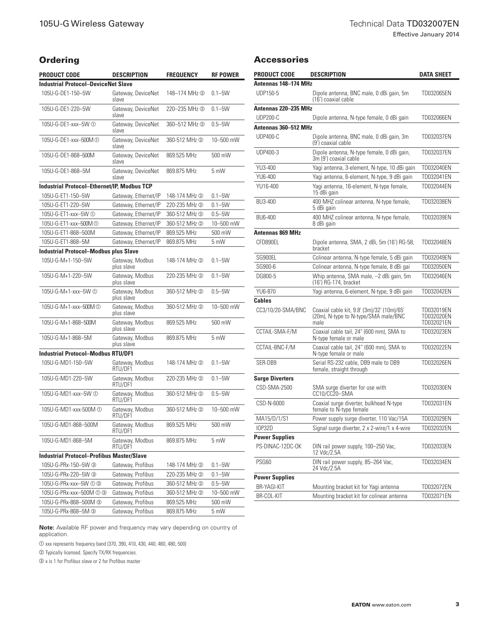## **Ordering**

| Product code                                       | DESCRIPTION                   | <b>FREQUENCY</b> | <b>RF POWER</b> |  |  |  |
|----------------------------------------------------|-------------------------------|------------------|-----------------|--|--|--|
| <b>Industrial Protocol–DeviceNet Slave</b>         |                               |                  |                 |  |  |  |
| 105U-G-DE1-150-5W                                  | Gateway, DeviceNet<br>slave   | 148-174 MHz 2    | $0.1 - 5W$      |  |  |  |
| 105U-G-DE1-220-5W                                  | Gateway, DeviceNet<br>slave   | 220-235 MHz 2    | $0.1 - 5W$      |  |  |  |
| 105U-G-DE1-xxx-5W ①                                | Gateway, DeviceNet<br>slave   | 360-512 MHz 2    | $0.5 - 5W$      |  |  |  |
| 105U-G-DE1-xxx-500M (1)                            | Gateway, DeviceNet<br>slave   | 360-512 MHz 2    | 10-500 mW       |  |  |  |
| 105U-G-DE1-868-500M                                | Gateway, DeviceNet<br>slave   | 869.525 MHz      | 500 mW          |  |  |  |
| 105U-G-DE1-868-5M                                  | Gateway, DeviceNet<br>slave   | 869.875 MHz      | $5 \text{ mW}$  |  |  |  |
| <b>Industrial Protocol–Ethernet/IP, Modbus TCP</b> |                               |                  |                 |  |  |  |
| 105U-G-ET1-150-5W                                  | Gateway, Ethernet/IP          | 148-174 MHz 2    | $0.1 - 5W$      |  |  |  |
| 105U-G-ET1-220-5W                                  | Gateway, Ethernet/IP          | 220-235 MHz 2    | $0.1 - 5W$      |  |  |  |
| 105U-G-ET1-xxx-5W ①                                | Gateway, Ethernet/IP          | 360-512 MHz 2    | $0.5 - 5W$      |  |  |  |
| 105U-G-ET1-xxx-500M ①                              | Gateway, Ethernet/IP          | 360-512 MHz 2    | 10-500 mW       |  |  |  |
| 105U-G-ET1-868-500M                                | Gateway, Ethernet/IP          | 869.525 MHz      | 500 mW          |  |  |  |
| 105U-G-ET1-868-5M                                  | Gateway, Ethernet/IP          | 869.875 MHz      | 5 mW            |  |  |  |
| <b>Industrial Protocol–Modbus plus Slave</b>       |                               |                  |                 |  |  |  |
| 105U-G-M+1-150-5W                                  | Gateway, Modbus<br>plus slave | 148-174 MHz 2    | $0.1 - 5W$      |  |  |  |
| 105U-G-M+1-220-5W                                  | Gateway, Modbus<br>plus slave | 220-235 MHz 2    | $0.1 - 5W$      |  |  |  |
| 105U-G-M+1-xxx-5W ①                                | Gateway, Modbus<br>plus slave | 360-512 MHz 2    | $0.5 - 5W$      |  |  |  |
| 105U-G-M+1-xxx-500M ①                              | Gateway, Modbus<br>plus slave | 360-512 MHz 2    | 10-500 mW       |  |  |  |
| 105U-G-M+1-868-500M                                | Gateway, Modbus<br>plus slave | 869.525 MHz      | 500 mW          |  |  |  |
| 105U-G-M+1-868-5M                                  | Gateway, Modbus<br>plus slave | 869.875 MHz      | 5 mW            |  |  |  |
| <b>Industrial Protocol-Modbus RTU/DF1</b>          |                               |                  |                 |  |  |  |
| 105U-G-MD1-150-5W                                  | Gateway, Modbus<br>RTU/DF1    | 148-174 MHz 2    | $0.1 - 5W$      |  |  |  |
| 105U-G-MD1-220-5W                                  | Gateway, Modbus<br>RTU/DF1    | 220-235 MHz 2    | $0.1 - 5W$      |  |  |  |
| 105U-G-MD1-xxx-5W ①                                | Gateway, Modbus<br>RTU/DF1    | 360-512 MHz 2    | $0.5 - 5W$      |  |  |  |
| 105U-G-MD1-xxx-500M ①                              | Gateway, Modbus<br>RTU/DF1    | 360-512 MHz 2    | 10-500 mW       |  |  |  |
| 105U-G-MD1-868-500M                                | Gateway, Modbus<br>RTU/DF1    | 869.525 MHz      | 500 mW          |  |  |  |
| 105U-G-MD1-868-5M                                  | Gateway, Modbus<br>RTU/DF1    | 869.875 MHz      | 5 mW            |  |  |  |
| <b>Industrial Protocol-Profibus Master/Slave</b>   |                               |                  |                 |  |  |  |
| 105U-G-PRx-150-5W 3                                | Gateway, Profibus             | 148-174 MHz 2    | $0.1 - 5W$      |  |  |  |
| 105U-G-PRx-220-5W 3                                | Gateway, Profibus             | 220-235 MHz 2    | $0.1 - 5W$      |  |  |  |
| 105U-G-PRx-xxx-5W ① ③                              | Gateway, Profibus             | 360-512 MHz 2    | $0.5 - 5W$      |  |  |  |
| 105U-G-PRx-xxx-500M ① ③                            | Gateway, Profibus             | 360-512 MHz 2    | 10-500 mW       |  |  |  |
| 105U-G-PRx-868-500M 3                              | Gateway, Profibus             | 869.525 MHz      | 500 mW          |  |  |  |
| 105U-G-PRx-868-5M 3                                | Gateway, Profibus             | 869.875 MHz      | 5 mW            |  |  |  |

#### Accessories

| <b>PRODUCT CODE</b>         | <b>DESCRIPTION</b>                                                                         | <b>DATA SHEET</b>                      |
|-----------------------------|--------------------------------------------------------------------------------------------|----------------------------------------|
| Antennas 148–174 MHz        |                                                                                            |                                        |
| UDP150-5                    | Dipole antenna, BNC male, 0 dBi gain, 5m<br>(16') coaxial cable                            | TD032065EN                             |
| Antennas 220–235 MHz        |                                                                                            |                                        |
| <b>UDP200-C</b>             | Dipole antenna, N-type female, 0 dBi gain                                                  | TD032066EN                             |
| <b>Antennas 360-512 MHz</b> |                                                                                            |                                        |
| <b>UDP400-C</b>             | Dipole antenna, BNC male, 0 dBi gain, 3m<br>(9') coaxial cable                             | TD032037EN                             |
| UDP400-3                    | Dipole antenna, N-type female, 0 dBi gain,<br>3m (9') coaxial cable                        | TD032037EN                             |
| YU3-400                     | Yagi antenna, 3-element, N-type, 10 dBi gain                                               | TD032040EN                             |
| YU6-400                     | Yagi antenna, 6-element, N-type, 9 dBi gain                                                | TD032041EN                             |
| YU16-400                    | Yagi antenna, 16-element, N-type female,<br>15 dBi gain                                    | TD032044EN                             |
| BU3-400                     | 400 MHZ colinear antenna, N-type female,<br>5 dBi qain                                     | TD032038EN                             |
| BU6-400                     | 400 MHZ colinear antenna, N-type female,<br>8 dBi gain                                     | TD032039EN                             |
| Antennas 869 MHz            |                                                                                            |                                        |
| CFD890EL                    | Dipole antenna, SMA, 2 dBi, 5m (16') RG-58,<br>bracket                                     | TD032048EN                             |
| SG900EL                     | Colinear antenna, N-type female, 5 dBi gain                                                | TD032049EN                             |
| SG900-6                     | Colinear antenna, N-type female, 8 dBi gai                                                 | TD032050EN                             |
| DG800-5                     | Whip antenna, SMA male, -2 dBi gain, 5m<br>(16') RG-174, bracket                           | TD032046EN                             |
| YU6-870                     | Yagi antenna, 6-element, N-type, 9 dBi gain                                                | TD032042EN                             |
| Cables                      |                                                                                            |                                        |
| CC3/10/20-SMA/BNC           | Coaxial cable kit, 9.8' (3m)/32' (10m)/65'<br>(20m), N-type to N-type/SMA male/BNC<br>male | TD032019EN<br>TD032020EN<br>TD032021EN |
| CCTAIL-SMA-F/M              | Coaxial cable tail, 24" (600 mm), SMA to<br>N-type female or male                          | TD032023EN                             |
| CCTAIL-BNC-F/M              | Coaxial cable tail, 24" (600 mm), SMA to<br>N-type female or male                          | TD032022EN                             |
| SER-DB9                     | Serial RS-232 cable, DB9 male to DB9<br>female, straight through                           | TD032026EN                             |
| <b>Surge Diverters</b>      |                                                                                            |                                        |
| CSD-SMA-2500                | SMA surge diverter for use with<br>CC10/CC20-SMA                                           | TD032030EN                             |
| CSD-N-6000                  | Coaxial surge diverter, bulkhead N-type<br>female to N-type female                         | TD032031EN                             |
| MA15/D/1/S1                 | Power supply surge diverter, 110 Vac/15A                                                   | TD032029EN                             |
| <b>IOP32D</b>               | Signal surge diverter, 2 x 2-wire/1 x 4-wire                                               | TD032032EN                             |
| <b>Power Supplies</b>       |                                                                                            |                                        |
| PS-DINAC-12DC-OK            | DIN rail power supply, 100-250 Vac,<br>12 Vdc/2.5A                                         | TD032033EN                             |
| PSG60                       | DIN rail power supply, 85-264 Vac,<br>24 Vdc/2.5A                                          | TD032034EN                             |
| <b>Power Supplies</b>       |                                                                                            |                                        |
| <b>BR-YAGI-KIT</b>          | Mounting bracket kit for Yagi antenna                                                      | TD032072EN                             |
| BR-COL-KIT                  | Mounting bracket kit for colinear antenna                                                  | TD032071EN                             |

**Note:** Available RF power and frequency may vary depending on country of application.

a xxx represents frequency band (370, 390, 410, 430, 440, 460, 480, 500)

 $\oslash$  Typically licensed. Specify TX/RX frequencies.

 $\circledcirc$  x is 1 for Profibus slave or 2 for Profibus master